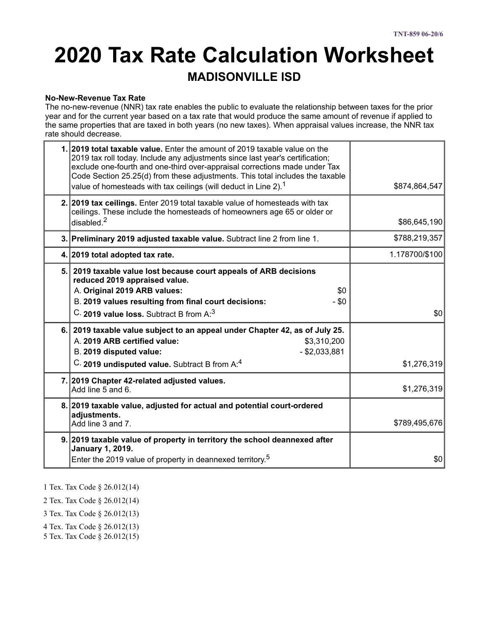# **2020 Tax Rate Calculation Worksheet**

### **MADISONVILLE ISD**

#### **No-New-Revenue Tax Rate**

The no-new-revenue (NNR) tax rate enables the public to evaluate the relationship between taxes for the prior year and for the current year based on a tax rate that would produce the same amount of revenue if applied to the same properties that are taxed in both years (no new taxes). When appraisal values increase, the NNR tax rate should decrease.

|     | 1. 2019 total taxable value. Enter the amount of 2019 taxable value on the<br>2019 tax roll today. Include any adjustments since last year's certification;<br>exclude one-fourth and one-third over-appraisal corrections made under Tax<br>Code Section 25.25(d) from these adjustments. This total includes the taxable<br>value of homesteads with tax ceilings (will deduct in Line 2). <sup>1</sup> | \$874,864,547  |
|-----|-----------------------------------------------------------------------------------------------------------------------------------------------------------------------------------------------------------------------------------------------------------------------------------------------------------------------------------------------------------------------------------------------------------|----------------|
|     | 2. 2019 tax ceilings. Enter 2019 total taxable value of homesteads with tax<br>ceilings. These include the homesteads of homeowners age 65 or older or<br>disabled. $2$                                                                                                                                                                                                                                   | \$86,645,190   |
|     | 3. Preliminary 2019 adjusted taxable value. Subtract line 2 from line 1.                                                                                                                                                                                                                                                                                                                                  | \$788,219,357  |
|     | 4. 2019 total adopted tax rate.                                                                                                                                                                                                                                                                                                                                                                           | 1.178700/\$100 |
|     | 5. 2019 taxable value lost because court appeals of ARB decisions<br>reduced 2019 appraised value.<br>A. Original 2019 ARB values:<br>\$0<br>B. 2019 values resulting from final court decisions:<br>$-$ \$0<br>C. 2019 value loss. Subtract B from $A:3$                                                                                                                                                 | \$0            |
| 6.1 | 2019 taxable value subject to an appeal under Chapter 42, as of July 25.<br>A. 2019 ARB certified value:<br>\$3,310,200<br>$-$ \$2,033,881<br>B. 2019 disputed value:<br>C. 2019 undisputed value. Subtract B from A:4                                                                                                                                                                                    | \$1,276,319    |
|     | 7. 2019 Chapter 42-related adjusted values.<br>Add line 5 and 6.                                                                                                                                                                                                                                                                                                                                          | \$1,276,319    |
|     | 8. 2019 taxable value, adjusted for actual and potential court-ordered<br>adjustments.<br>Add line 3 and 7.                                                                                                                                                                                                                                                                                               | \$789,495,676  |
|     | 9. 2019 taxable value of property in territory the school deannexed after<br><b>January 1, 2019.</b><br>Enter the 2019 value of property in deannexed territory. <sup>5</sup>                                                                                                                                                                                                                             | \$0            |

1 Tex. Tax Code § 26.012(14)

2 Tex. Tax Code § 26.012(14)

3 Tex. Tax Code § 26.012(13)

4 Tex. Tax Code § 26.012(13)

5 Tex. Tax Code § 26.012(15)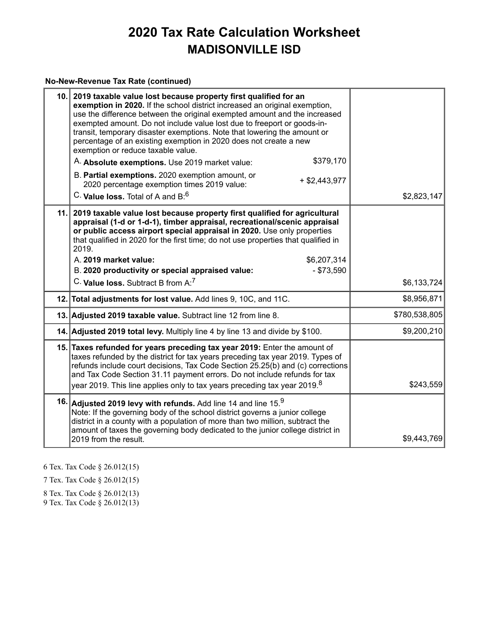#### **No-New-Revenue Tax Rate (continued)**

| 10. 2019 taxable value lost because property first qualified for an<br>exemption in 2020. If the school district increased an original exemption,<br>use the difference between the original exempted amount and the increased<br>exempted amount. Do not include value lost due to freeport or goods-in-<br>transit, temporary disaster exemptions. Note that lowering the amount or<br>percentage of an existing exemption in 2020 does not create a new<br>exemption or reduce taxable value.<br>\$379,170<br>A. Absolute exemptions. Use 2019 market value: |               |
|-----------------------------------------------------------------------------------------------------------------------------------------------------------------------------------------------------------------------------------------------------------------------------------------------------------------------------------------------------------------------------------------------------------------------------------------------------------------------------------------------------------------------------------------------------------------|---------------|
| B. Partial exemptions. 2020 exemption amount, or<br>$+$ \$2,443,977<br>2020 percentage exemption times 2019 value:                                                                                                                                                                                                                                                                                                                                                                                                                                              |               |
| C. Value loss. Total of A and B: <sup>6</sup>                                                                                                                                                                                                                                                                                                                                                                                                                                                                                                                   | \$2,823,147   |
| 11. 2019 taxable value lost because property first qualified for agricultural<br>appraisal (1-d or 1-d-1), timber appraisal, recreational/scenic appraisal<br>or public access airport special appraisal in 2020. Use only properties<br>that qualified in 2020 for the first time; do not use properties that qualified in<br>2019.<br>A. 2019 market value:<br>\$6,207,314                                                                                                                                                                                    |               |
| B. 2020 productivity or special appraised value:<br>$- $73,590$                                                                                                                                                                                                                                                                                                                                                                                                                                                                                                 |               |
| $C.$ Value loss. Subtract B from $A$ : <sup>7</sup>                                                                                                                                                                                                                                                                                                                                                                                                                                                                                                             | \$6,133,724   |
| 12. Total adjustments for lost value. Add lines 9, 10C, and 11C.                                                                                                                                                                                                                                                                                                                                                                                                                                                                                                | \$8,956,871   |
| 13. Adjusted 2019 taxable value. Subtract line 12 from line 8.                                                                                                                                                                                                                                                                                                                                                                                                                                                                                                  | \$780,538,805 |
| 14. Adjusted 2019 total levy. Multiply line 4 by line 13 and divide by \$100.                                                                                                                                                                                                                                                                                                                                                                                                                                                                                   | \$9,200,210   |
| 15. Taxes refunded for years preceding tax year 2019: Enter the amount of<br>taxes refunded by the district for tax years preceding tax year 2019. Types of<br>refunds include court decisions, Tax Code Section 25.25(b) and (c) corrections<br>and Tax Code Section 31.11 payment errors. Do not include refunds for tax<br>year 2019. This line applies only to tax years preceding tax year 2019. <sup>8</sup>                                                                                                                                              | \$243,559     |
| 16. Adjusted 2019 levy with refunds. Add line 14 and line $15^{9}$<br>Note: If the governing body of the school district governs a junior college<br>district in a county with a population of more than two million, subtract the<br>amount of taxes the governing body dedicated to the junior college district in<br>2019 from the result.                                                                                                                                                                                                                   | \$9,443,769   |

6 Tex. Tax Code § 26.012(15)

7 Tex. Tax Code § 26.012(15)

8 Tex. Tax Code § 26.012(13)

9 Tex. Tax Code § 26.012(13)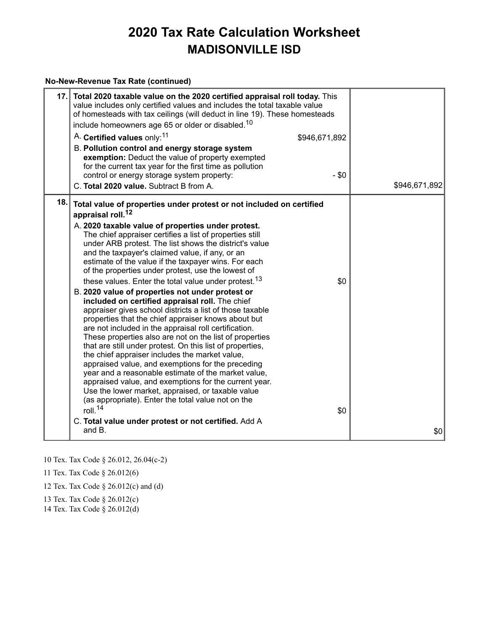#### **No-New-Revenue Tax Rate (continued)**

| 17.1 | Total 2020 taxable value on the 2020 certified appraisal roll today. This<br>value includes only certified values and includes the total taxable value<br>of homesteads with tax ceilings (will deduct in line 19). These homesteads<br>include homeowners age 65 or older or disabled. <sup>10</sup><br>A. Certified values only: <sup>11</sup><br>B. Pollution control and energy storage system<br>exemption: Deduct the value of property exempted<br>for the current tax year for the first time as pollution<br>control or energy storage system property:<br>C. Total 2020 value. Subtract B from A.                                                                                                                                                                                                                                                                                                                                                                                                                                                                                                                                                                                                                                                                                                                               | \$946,671,892<br>$-$ \$0 | \$946,671,892 |
|------|-------------------------------------------------------------------------------------------------------------------------------------------------------------------------------------------------------------------------------------------------------------------------------------------------------------------------------------------------------------------------------------------------------------------------------------------------------------------------------------------------------------------------------------------------------------------------------------------------------------------------------------------------------------------------------------------------------------------------------------------------------------------------------------------------------------------------------------------------------------------------------------------------------------------------------------------------------------------------------------------------------------------------------------------------------------------------------------------------------------------------------------------------------------------------------------------------------------------------------------------------------------------------------------------------------------------------------------------|--------------------------|---------------|
| 18.  | Total value of properties under protest or not included on certified<br>appraisal roll. <sup>12</sup><br>A. 2020 taxable value of properties under protest.<br>The chief appraiser certifies a list of properties still<br>under ARB protest. The list shows the district's value<br>and the taxpayer's claimed value, if any, or an<br>estimate of the value if the taxpayer wins. For each<br>of the properties under protest, use the lowest of<br>these values. Enter the total value under protest. <sup>13</sup><br>B. 2020 value of properties not under protest or<br>included on certified appraisal roll. The chief<br>appraiser gives school districts a list of those taxable<br>properties that the chief appraiser knows about but<br>are not included in the appraisal roll certification.<br>These properties also are not on the list of properties<br>that are still under protest. On this list of properties,<br>the chief appraiser includes the market value,<br>appraised value, and exemptions for the preceding<br>year and a reasonable estimate of the market value,<br>appraised value, and exemptions for the current year.<br>Use the lower market, appraised, or taxable value<br>(as appropriate). Enter the total value not on the<br>roll. $14$<br>C. Total value under protest or not certified. Add A | \$0<br>\$0               |               |
|      | and B.                                                                                                                                                                                                                                                                                                                                                                                                                                                                                                                                                                                                                                                                                                                                                                                                                                                                                                                                                                                                                                                                                                                                                                                                                                                                                                                                    |                          | \$0           |

10 Tex. Tax Code § 26.012, 26.04(c-2)

11 Tex. Tax Code § 26.012(6)

12 Tex. Tax Code § 26.012(c) and (d)

13 Tex. Tax Code § 26.012(c)

14 Tex. Tax Code § 26.012(d)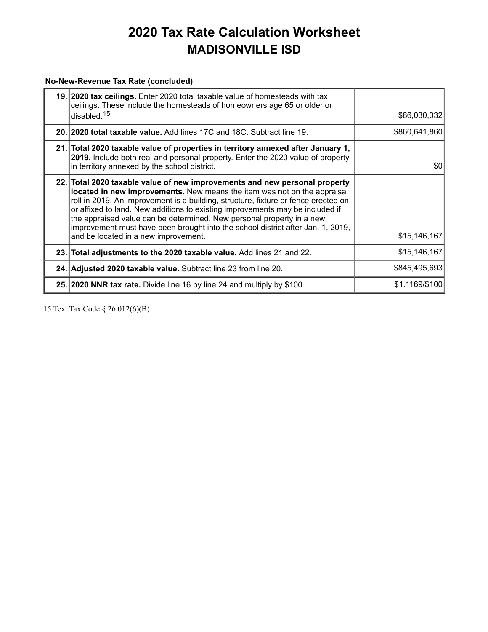#### **No-New-Revenue Tax Rate (concluded)**

| 19. 2020 tax ceilings. Enter 2020 total taxable value of homesteads with tax<br>ceilings. These include the homesteads of homeowners age 65 or older or<br>disabled. <sup>15</sup>                                                                                                                                                                                                                                                                                                                                                | \$86,030,032   |
|-----------------------------------------------------------------------------------------------------------------------------------------------------------------------------------------------------------------------------------------------------------------------------------------------------------------------------------------------------------------------------------------------------------------------------------------------------------------------------------------------------------------------------------|----------------|
| 20. 2020 total taxable value. Add lines 17C and 18C. Subtract line 19.                                                                                                                                                                                                                                                                                                                                                                                                                                                            | \$860,641,860  |
| 21. Total 2020 taxable value of properties in territory annexed after January 1,<br>2019. Include both real and personal property. Enter the 2020 value of property<br>in territory annexed by the school district.                                                                                                                                                                                                                                                                                                               | \$0            |
| 22. Total 2020 taxable value of new improvements and new personal property<br>located in new improvements. New means the item was not on the appraisal<br>roll in 2019. An improvement is a building, structure, fixture or fence erected on<br>or affixed to land. New additions to existing improvements may be included if<br>the appraised value can be determined. New personal property in a new<br>improvement must have been brought into the school district after Jan. 1, 2019,<br>and be located in a new improvement. | \$15,146,167   |
| 23. Total adjustments to the 2020 taxable value. Add lines 21 and 22.                                                                                                                                                                                                                                                                                                                                                                                                                                                             | \$15,146,167   |
| 24. Adjusted 2020 taxable value. Subtract line 23 from line 20.                                                                                                                                                                                                                                                                                                                                                                                                                                                                   | \$845,495,693  |
| 25. 2020 NNR tax rate. Divide line 16 by line 24 and multiply by \$100.                                                                                                                                                                                                                                                                                                                                                                                                                                                           | \$1.1169/\$100 |

15 Tex. Tax Code § 26.012(6)(B)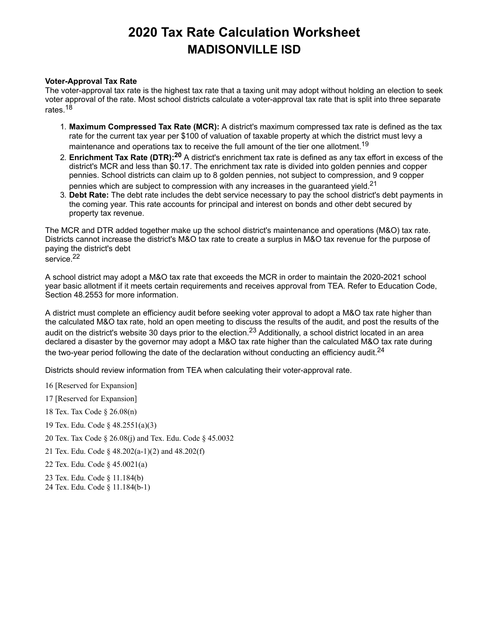#### **Voter-Approval Tax Rate**

The voter-approval tax rate is the highest tax rate that a taxing unit may adopt without holding an election to seek voter approval of the rate. Most school districts calculate a voter-approval tax rate that is split into three separate rates.<sup>18</sup>

- 1. **Maximum Compressed Tax Rate (MCR):** A district's maximum compressed tax rate is defined as the tax rate for the current tax year per \$100 of valuation of taxable property at which the district must levy a maintenance and operations tax to receive the full amount of the tier one allotment. $^{\mathsf{19}}$
- 2. **Enrichment Tax Rate (DTR): <sup>20</sup>** A district's enrichment tax rate is defined as any tax effort in excess of the district's MCR and less than \$0.17. The enrichment tax rate is divided into golden pennies and copper pennies. School districts can claim up to 8 golden pennies, not subject to compression, and 9 copper pennies which are subject to compression with any increases in the guaranteed yield. $^{21}$
- 3. **Debt Rate:** The debt rate includes the debt service necessary to pay the school district's debt payments in the coming year. This rate accounts for principal and interest on bonds and other debt secured by property tax revenue.

The MCR and DTR added together make up the school district's maintenance and operations (M&O) tax rate. Districts cannot increase the district's M&O tax rate to create a surplus in M&O tax revenue for the purpose of paying the district's debt service. 22

A school district may adopt a M&O tax rate that exceeds the MCR in order to maintain the 2020-2021 school year basic allotment if it meets certain requirements and receives approval from TEA. Refer to Education Code, Section 48.2553 for more information.

A district must complete an efficiency audit before seeking voter approval to adopt a M&O tax rate higher than the calculated M&O tax rate, hold an open meeting to discuss the results of the audit, and post the results of the audit on the district's website 30 days prior to the election.<sup>23</sup> Additionally, a school district located in an area declared a disaster by the governor may adopt a M&O tax rate higher than the calculated M&O tax rate during the two-year period following the date of the declaration without conducting an efficiency audit. $^\mathrm{24}$ 

Districts should review information from TEA when calculating their voter-approval rate.

- 16 [Reserved for Expansion]
- 17 [Reserved for Expansion]
- 18 Tex. Tax Code § 26.08(n)
- 19 Tex. Edu. Code § 48.2551(a)(3)
- 20 Tex. Tax Code § 26.08(j) and Tex. Edu. Code § 45.0032
- 21 Tex. Edu. Code § 48.202(a-1)(2) and 48.202(f)
- 22 Tex. Edu. Code § 45.0021(a)
- 23 Tex. Edu. Code § 11.184(b)
- 24 Tex. Edu. Code § 11.184(b-1)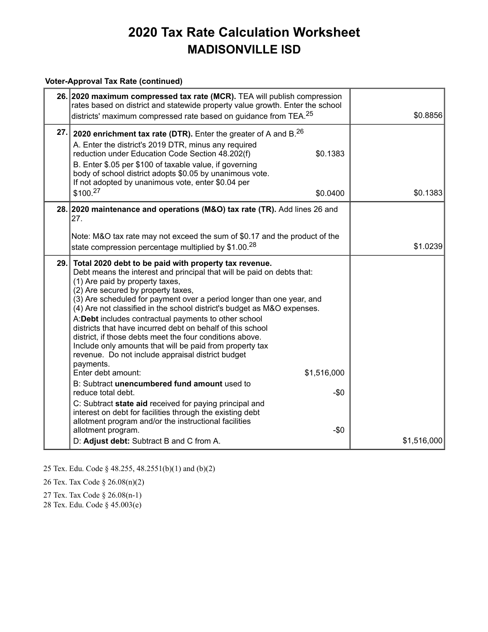#### **Voter-Approval Tax Rate (continued)**

|      | 26. 2020 maximum compressed tax rate (MCR). TEA will publish compression<br>rates based on district and statewide property value growth. Enter the school<br>districts' maximum compressed rate based on guidance from TEA. <sup>25</sup>                                                                                                                                                                                                                                                                                                                                                                                                                                                                                                                                                                                                                                                                                                                                                                                                                    | \$0.8856    |
|------|--------------------------------------------------------------------------------------------------------------------------------------------------------------------------------------------------------------------------------------------------------------------------------------------------------------------------------------------------------------------------------------------------------------------------------------------------------------------------------------------------------------------------------------------------------------------------------------------------------------------------------------------------------------------------------------------------------------------------------------------------------------------------------------------------------------------------------------------------------------------------------------------------------------------------------------------------------------------------------------------------------------------------------------------------------------|-------------|
| 27.  | 2020 enrichment tax rate (DTR). Enter the greater of A and B. <sup>26</sup><br>A. Enter the district's 2019 DTR, minus any required<br>\$0.1383<br>reduction under Education Code Section 48.202(f)<br>B. Enter \$.05 per \$100 of taxable value, if governing<br>body of school district adopts \$0.05 by unanimous vote.<br>If not adopted by unanimous vote, enter \$0.04 per<br>\$100.27<br>\$0.0400                                                                                                                                                                                                                                                                                                                                                                                                                                                                                                                                                                                                                                                     | \$0.1383    |
|      | 28. 2020 maintenance and operations (M&O) tax rate (TR). Add lines 26 and<br>27.                                                                                                                                                                                                                                                                                                                                                                                                                                                                                                                                                                                                                                                                                                                                                                                                                                                                                                                                                                             |             |
|      | Note: M&O tax rate may not exceed the sum of \$0.17 and the product of the<br>state compression percentage multiplied by \$1.00.28                                                                                                                                                                                                                                                                                                                                                                                                                                                                                                                                                                                                                                                                                                                                                                                                                                                                                                                           | \$1.0239    |
| 29.1 | Total 2020 debt to be paid with property tax revenue.<br>Debt means the interest and principal that will be paid on debts that:<br>(1) Are paid by property taxes,<br>(2) Are secured by property taxes,<br>(3) Are scheduled for payment over a period longer than one year, and<br>(4) Are not classified in the school district's budget as M&O expenses.<br>A:Debt includes contractual payments to other school<br>districts that have incurred debt on behalf of this school<br>district, if those debts meet the four conditions above.<br>Include only amounts that will be paid from property tax<br>revenue. Do not include appraisal district budget<br>payments.<br>\$1,516,000<br>Enter debt amount:<br>B: Subtract unencumbered fund amount used to<br>$-$0$<br>reduce total debt.<br>C: Subtract state aid received for paying principal and<br>interest on debt for facilities through the existing debt<br>allotment program and/or the instructional facilities<br>$-$0$<br>allotment program.<br>D: Adjust debt: Subtract B and C from A. | \$1,516,000 |

25 Tex. Edu. Code § 48.255, 48.2551(b)(1) and (b)(2)

26 Tex. Tax Code § 26.08(n)(2)

27 Tex. Tax Code § 26.08(n-1)

28 Tex. Edu. Code § 45.003(e)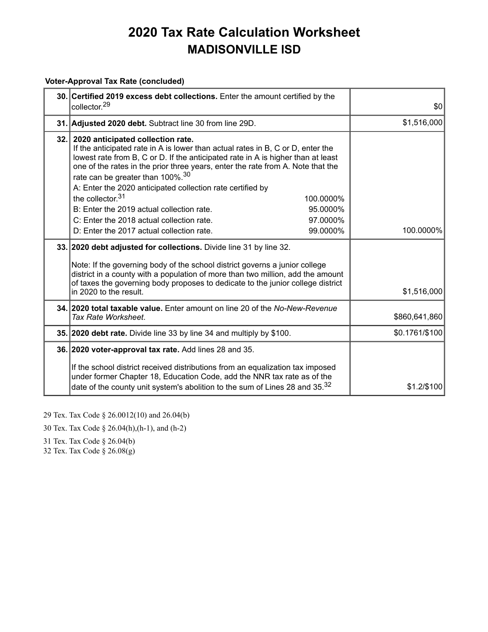### **Voter-Approval Tax Rate (concluded)**

| 30. Certified 2019 excess debt collections. Enter the amount certified by the<br>collector. <sup>29</sup>                                                                                                                                                                                                                                                                                                                                        | \$0            |
|--------------------------------------------------------------------------------------------------------------------------------------------------------------------------------------------------------------------------------------------------------------------------------------------------------------------------------------------------------------------------------------------------------------------------------------------------|----------------|
| 31. Adjusted 2020 debt. Subtract line 30 from line 29D.                                                                                                                                                                                                                                                                                                                                                                                          | \$1,516,000    |
| 32. 2020 anticipated collection rate.<br>If the anticipated rate in A is lower than actual rates in B, C or D, enter the<br>lowest rate from B, C or D. If the anticipated rate in A is higher than at least<br>one of the rates in the prior three years, enter the rate from A. Note that the<br>rate can be greater than 100%. <sup>30</sup><br>A: Enter the 2020 anticipated collection rate certified by<br>the collector $31$<br>100.0000% |                |
| B: Enter the 2019 actual collection rate.<br>95.0000%                                                                                                                                                                                                                                                                                                                                                                                            |                |
| C: Enter the 2018 actual collection rate.<br>97.0000%                                                                                                                                                                                                                                                                                                                                                                                            |                |
| D: Enter the 2017 actual collection rate.<br>99.0000%                                                                                                                                                                                                                                                                                                                                                                                            | 100.0000%      |
| 33. 2020 debt adjusted for collections. Divide line 31 by line 32.                                                                                                                                                                                                                                                                                                                                                                               |                |
| Note: If the governing body of the school district governs a junior college<br>district in a county with a population of more than two million, add the amount<br>of taxes the governing body proposes to dedicate to the junior college district                                                                                                                                                                                                |                |
| in 2020 to the result.                                                                                                                                                                                                                                                                                                                                                                                                                           | \$1,516,000    |
| 34. 2020 total taxable value. Enter amount on line 20 of the No-New-Revenue<br>Tax Rate Worksheet.                                                                                                                                                                                                                                                                                                                                               | \$860,641,860  |
| 35. 2020 debt rate. Divide line 33 by line 34 and multiply by \$100.                                                                                                                                                                                                                                                                                                                                                                             | \$0.1761/\$100 |
| 36. 2020 voter-approval tax rate. Add lines 28 and 35.                                                                                                                                                                                                                                                                                                                                                                                           |                |
| If the school district received distributions from an equalization tax imposed<br>under former Chapter 18, Education Code, add the NNR tax rate as of the<br>date of the county unit system's abolition to the sum of Lines 28 and 35. <sup>32</sup>                                                                                                                                                                                             | \$1.2/\$100    |

29 Tex. Tax Code § 26.0012(10) and 26.04(b)

30 Tex. Tax Code § 26.04(h),(h-1), and (h-2)

31 Tex. Tax Code § 26.04(b)

32 Tex. Tax Code § 26.08(g)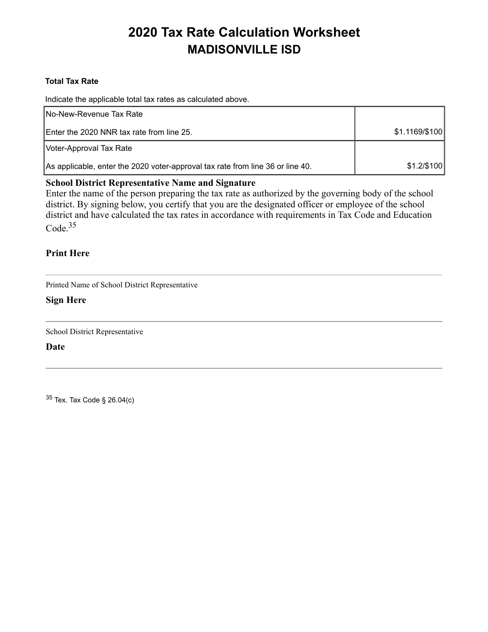#### **Total Tax Rate**

Indicate the applicable total tax rates as calculated above.

| INo-New-Revenue Tax Rate                                                       |                |
|--------------------------------------------------------------------------------|----------------|
| Enter the 2020 NNR tax rate from line 25.                                      | \$1.1169/\$100 |
| Voter-Approval Tax Rate                                                        |                |
| As applicable, enter the 2020 voter-approval tax rate from line 36 or line 40. | $$1.2$ /\$100  |

#### **School District Representative Name and Signature**

Enter the name of the person preparing the tax rate as authorized by the governing body of the school district. By signing below, you certify that you are the designated officer or employee of the school district and have calculated the tax rates in accordance with requirements in Tax Code and Education Code.<sup>35</sup>

#### **Print Here**

Printed Name of School District Representative

#### **Sign Here**

School District Representative

**Date**

<sup>35</sup> Tex. Tax Code § 26.04(c)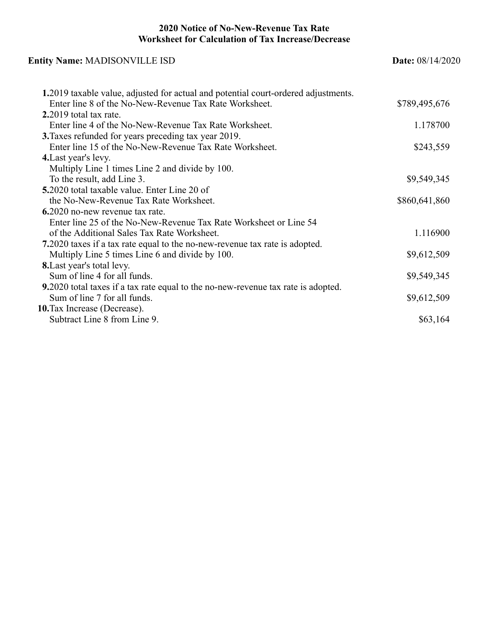#### **2020 Notice of No-New-Revenue Tax Rate Worksheet for Calculation of Tax Increase/Decrease**

| <b>Entity Name: MADISONVILLE ISD</b>                                               | <b>Date:</b> 08/14/2020 |  |
|------------------------------------------------------------------------------------|-------------------------|--|
| 1.2019 taxable value, adjusted for actual and potential court-ordered adjustments. |                         |  |
| Enter line 8 of the No-New-Revenue Tax Rate Worksheet.                             | \$789,495,676           |  |
| 2.2019 total tax rate.                                                             |                         |  |
| Enter line 4 of the No-New-Revenue Tax Rate Worksheet.                             | 1.178700                |  |
| 3. Taxes refunded for years preceding tax year 2019.                               |                         |  |
| Enter line 15 of the No-New-Revenue Tax Rate Worksheet.                            | \$243,559               |  |
| 4. Last year's levy.                                                               |                         |  |
| Multiply Line 1 times Line 2 and divide by 100.                                    |                         |  |
| To the result, add Line 3.                                                         | \$9,549,345             |  |
| <b>5.</b> 2020 total taxable value. Enter Line 20 of                               |                         |  |
| the No-New-Revenue Tax Rate Worksheet.                                             | \$860,641,860           |  |
| 6.2020 no-new revenue tax rate.                                                    |                         |  |
| Enter line 25 of the No-New-Revenue Tax Rate Worksheet or Line 54                  |                         |  |
| of the Additional Sales Tax Rate Worksheet.                                        | 1.116900                |  |
| 7.2020 taxes if a tax rate equal to the no-new-revenue tax rate is adopted.        |                         |  |
| Multiply Line 5 times Line 6 and divide by 100.                                    | \$9,612,509             |  |
| <b>8.</b> Last year's total levy.                                                  |                         |  |
| Sum of line 4 for all funds.                                                       | \$9,549,345             |  |
| 9.2020 total taxes if a tax rate equal to the no-new-revenue tax rate is adopted.  |                         |  |
| Sum of line 7 for all funds.                                                       | \$9,612,509             |  |
| 10. Tax Increase (Decrease).                                                       |                         |  |
| Subtract Line 8 from Line 9.                                                       | \$63,164                |  |
|                                                                                    |                         |  |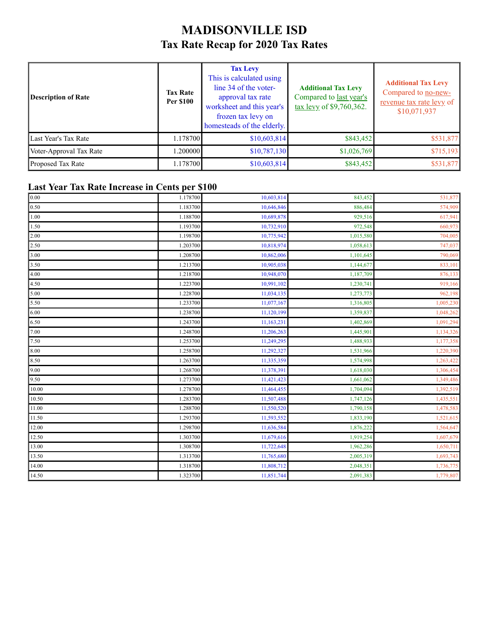### **MADISONVILLE ISD Tax Rate Recap for 2020 Tax Rates**

| <b>Description of Rate</b> | <b>Tax Rate</b><br><b>Per \$100</b> | <b>Tax Levy</b><br>This is calculated using<br>line 34 of the voter-<br>approval tax rate<br>worksheet and this year's<br>frozen tax levy on<br>homesteads of the elderly. | <b>Additional Tax Levy</b><br>Compared to last year's<br>$\frac{\text{tax} \text{levy}}{\text{of } $9,760,362}.$ | <b>Additional Tax Levy</b><br>Compared to no-new-<br>revenue tax rate levy of<br>\$10,071,937 |
|----------------------------|-------------------------------------|----------------------------------------------------------------------------------------------------------------------------------------------------------------------------|------------------------------------------------------------------------------------------------------------------|-----------------------------------------------------------------------------------------------|
| Last Year's Tax Rate       | 1.178700                            | \$10,603,814                                                                                                                                                               | \$843,452                                                                                                        | \$531,877                                                                                     |
| Voter-Approval Tax Rate    | 0.200000                            | \$10,787,130                                                                                                                                                               | \$1,026,769                                                                                                      | \$715,193                                                                                     |
| Proposed Tax Rate          | 1.178700                            | \$10,603,814                                                                                                                                                               | \$843,452                                                                                                        | \$531,877                                                                                     |

### **Last Year Tax Rate Increase in Cents per \$100**

| 0.00  | 1.178700 | 10,603,814 | 843,452   | 531,877   |
|-------|----------|------------|-----------|-----------|
| 0.50  | 1.183700 | 10,646,846 | 886,484   | 574,909   |
| 1.00  | 1.188700 | 10,689,878 | 929,516   | 617,941   |
| 1.50  | 1.193700 | 10,732,910 | 972,548   | 660,973   |
| 2.00  | 1.198700 | 10,775,942 | 1,015,580 | 704,005   |
| 2.50  | 1.203700 | 10,818,974 | 1,058,613 | 747,037   |
| 3.00  | 1.208700 | 10,862,006 | 1,101,645 | 790,069   |
| 3.50  | 1.213700 | 10,905,038 | 1,144,677 | 833,101   |
| 4.00  | 1.218700 | 10,948,070 | 1,187,709 | 876,133   |
| 4.50  | 1.223700 | 10,991,102 | 1,230,741 | 919,166   |
| 5.00  | 1.228700 | 11,034,135 | 1,273,773 | 962,198   |
| 5.50  | 1.233700 | 11,077,167 | 1,316,805 | 1,005,230 |
| 6.00  | 1.238700 | 11,120,199 | 1,359,837 | 1,048,262 |
| 6.50  | 1.243700 | 11,163,231 | 1,402,869 | 1,091,294 |
| 7.00  | 1.248700 | 11,206,263 | 1,445,901 | 1,134,326 |
| 7.50  | 1.253700 | 11,249,295 | 1,488,933 | 1,177,358 |
| 8.00  | 1.258700 | 11,292,327 | 1,531,966 | 1,220,390 |
| 8.50  | 1.263700 | 11,335,359 | 1,574,998 | 1,263,422 |
| 9.00  | 1.268700 | 11,378,391 | 1,618,030 | 1,306,454 |
| 9.50  | 1.273700 | 11,421,423 | 1,661,062 | 1,349,486 |
| 10.00 | 1.278700 | 11,464,455 | 1,704,094 | 1,392,519 |
| 10.50 | 1.283700 | 11,507,488 | 1,747,126 | 1,435,551 |
| 11.00 | 1.288700 | 11,550,520 | 1,790,158 | 1,478,583 |
| 11.50 | 1.293700 | 11,593,552 | 1,833,190 | 1,521,615 |
| 12.00 | 1.298700 | 11,636,584 | 1,876,222 | 1,564,647 |
| 12.50 | 1.303700 | 11,679,616 | 1,919,254 | 1,607,679 |
| 13.00 | 1.308700 | 11,722,648 | 1,962,286 | 1,650,711 |
| 13.50 | 1.313700 | 11,765,680 | 2,005,319 | 1,693,743 |
| 14.00 | 1.318700 | 11,808,712 | 2,048,351 | 1,736,775 |
| 14.50 | 1.323700 | 11,851,744 | 2,091,383 | 1,779,807 |